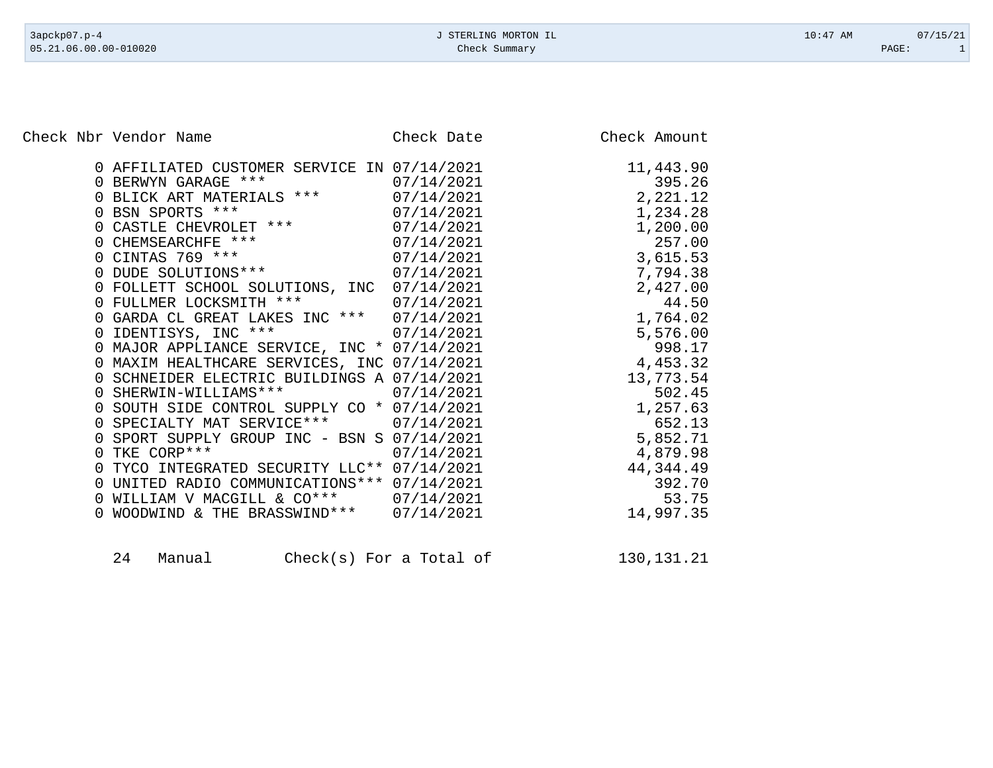Check Nbr Vendor Name Check Date Check Date Check Amount

|                | 0 AFFILIATED CUSTOMER SERVICE IN 07/14/2021 |            | 11,443.90 |
|----------------|---------------------------------------------|------------|-----------|
|                | 0 BERWYN GARAGE ***                         | 07/14/2021 | 395.26    |
|                | 0 BLICK ART MATERIALS ***                   | 07/14/2021 | 2,221.12  |
|                | 0 BSN SPORTS ***                            | 07/14/2021 | 1,234.28  |
|                | 0 CASTLE CHEVROLET ***                      | 07/14/2021 | 1,200.00  |
|                | 0 CHEMSEARCHFE ***                          | 07/14/2021 | 257.00    |
|                | 0 CINTAS 769 ***                            | 07/14/2021 | 3,615.53  |
|                | 0 DUDE SOLUTIONS ***<br>07/14/2021          |            | 7,794.38  |
|                | 0 FOLLETT SCHOOL SOLUTIONS, INC             | 07/14/2021 | 2,427.00  |
|                | 0 FULLMER LOCKSMITH ***                     | 07/14/2021 | 44.50     |
|                | 0 GARDA CL GREAT LAKES INC *** 07/14/2021   |            | 1,764.02  |
|                | 0 IDENTISYS, INC ***<br>07/14/2021          |            | 5,576.00  |
|                | 0 MAJOR APPLIANCE SERVICE, INC * 07/14/2021 |            | 998.17    |
|                | 0 MAXIM HEALTHCARE SERVICES, INC 07/14/2021 |            | 4,453.32  |
|                | 0 SCHNEIDER ELECTRIC BUILDINGS A 07/14/2021 |            | 13,773.54 |
|                | 0 SHERWIN-WILLIAMS *** 07/14/2021           |            | 502.45    |
|                | 0 SOUTH SIDE CONTROL SUPPLY CO * 07/14/2021 |            | 1,257.63  |
|                | 0 SPECIALTY MAT SERVICE*** 07/14/2021       |            | 652.13    |
|                | 0 SPORT SUPPLY GROUP INC - BSN S 07/14/2021 |            | 5,852.71  |
| $\overline{0}$ | TKE CORP ***                                | 07/14/2021 | 4,879.98  |
|                | 0 TYCO INTEGRATED SECURITY LLC** 07/14/2021 |            | 44,344.49 |
| 0              | UNITED RADIO COMMUNICATIONS ***             | 07/14/2021 | 392.70    |
|                | 0 WILLIAM V MACGILL & CO*** 07/14/2021      |            | 53.75     |
| $\Omega$       | WOODWIND & THE BRASSWIND*** 07/14/2021      |            | 14,997.35 |
|                |                                             |            |           |

| 24 | Manual | $Check(s)$ For a Total of |  |  |  | 130, 131. 21 |
|----|--------|---------------------------|--|--|--|--------------|
|----|--------|---------------------------|--|--|--|--------------|